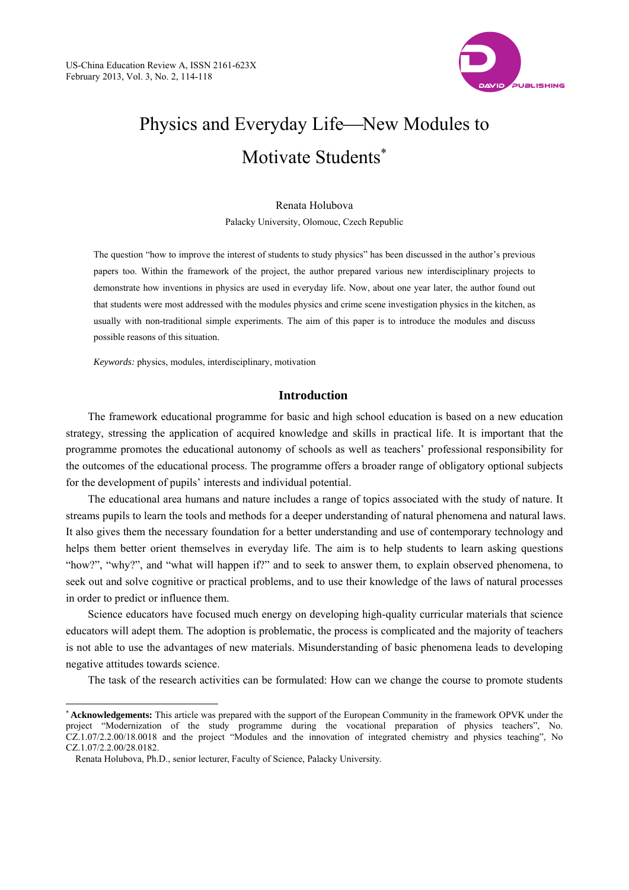

# Physics and Everyday Life—New Modules to Motivate Students<sup>\*</sup>

Renata Holubova Palacky University, Olomouc, Czech Republic

The question "how to improve the interest of students to study physics" has been discussed in the author's previous papers too. Within the framework of the project, the author prepared various new interdisciplinary projects to demonstrate how inventions in physics are used in everyday life. Now, about one year later, the author found out that students were most addressed with the modules physics and crime scene investigation physics in the kitchen, as usually with non-traditional simple experiments. The aim of this paper is to introduce the modules and discuss possible reasons of this situation.

*Keywords:* physics, modules, interdisciplinary, motivation

## **Introduction**

The framework educational programme for basic and high school education is based on a new education strategy, stressing the application of acquired knowledge and skills in practical life. It is important that the programme promotes the educational autonomy of schools as well as teachers' professional responsibility for the outcomes of the educational process. The programme offers a broader range of obligatory optional subjects for the development of pupils' interests and individual potential.

The educational area humans and nature includes a range of topics associated with the study of nature. It streams pupils to learn the tools and methods for a deeper understanding of natural phenomena and natural laws. It also gives them the necessary foundation for a better understanding and use of contemporary technology and helps them better orient themselves in everyday life. The aim is to help students to learn asking questions "how?", "why?", and "what will happen if?" and to seek to answer them, to explain observed phenomena, to seek out and solve cognitive or practical problems, and to use their knowledge of the laws of natural processes in order to predict or influence them.

Science educators have focused much energy on developing high-quality curricular materials that science educators will adept them. The adoption is problematic, the process is complicated and the majority of teachers is not able to use the advantages of new materials. Misunderstanding of basic phenomena leads to developing negative attitudes towards science.

The task of the research activities can be formulated: How can we change the course to promote students

 $\overline{a}$ 

**Acknowledgements:** This article was prepared with the support of the European Community in the framework OPVK under the project "Modernization of the study programme during the vocational preparation of physics teachers", No. CZ.1.07/2.2.00/18.0018 and the project "Modules and the innovation of integrated chemistry and physics teaching", No CZ.1.07/2.2.00/28.0182.

Renata Holubova, Ph.D., senior lecturer, Faculty of Science, Palacky University.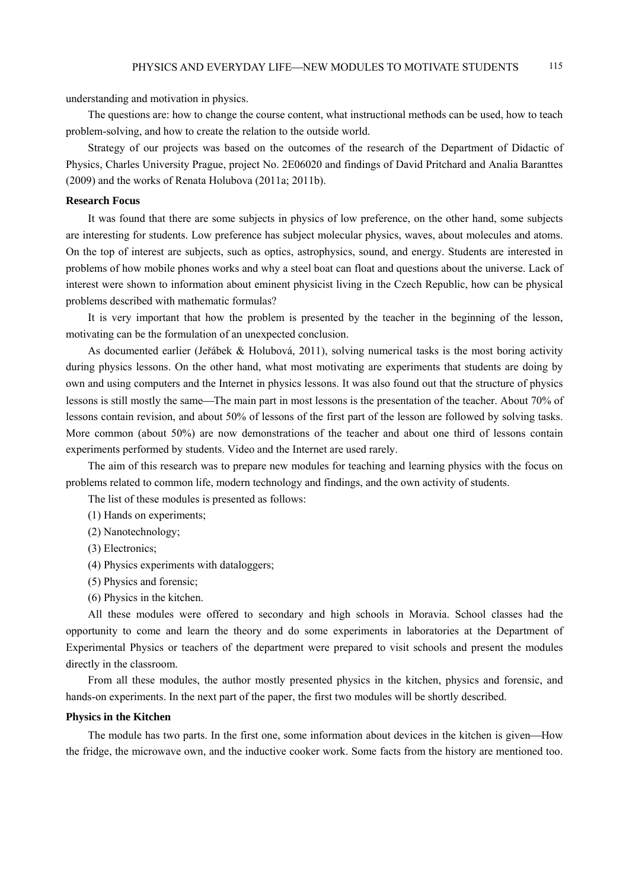understanding and motivation in physics.

The questions are: how to change the course content, what instructional methods can be used, how to teach problem-solving, and how to create the relation to the outside world.

Strategy of our projects was based on the outcomes of the research of the Department of Didactic of Physics, Charles University Prague, project No. 2E06020 and findings of David Pritchard and Analia Baranttes (2009) and the works of Renata Holubova (2011a; 2011b).

### **Research Focus**

It was found that there are some subjects in physics of low preference, on the other hand, some subjects are interesting for students. Low preference has subject molecular physics, waves, about molecules and atoms. On the top of interest are subjects, such as optics, astrophysics, sound, and energy. Students are interested in problems of how mobile phones works and why a steel boat can float and questions about the universe. Lack of interest were shown to information about eminent physicist living in the Czech Republic, how can be physical problems described with mathematic formulas?

It is very important that how the problem is presented by the teacher in the beginning of the lesson, motivating can be the formulation of an unexpected conclusion.

As documented earlier (Jeřábek & Holubová, 2011), solving numerical tasks is the most boring activity during physics lessons. On the other hand, what most motivating are experiments that students are doing by own and using computers and the Internet in physics lessons. It was also found out that the structure of physics lessons is still mostly the same—The main part in most lessons is the presentation of the teacher. About 70% of lessons contain revision, and about 50% of lessons of the first part of the lesson are followed by solving tasks. More common (about 50%) are now demonstrations of the teacher and about one third of lessons contain experiments performed by students. Video and the Internet are used rarely.

The aim of this research was to prepare new modules for teaching and learning physics with the focus on problems related to common life, modern technology and findings, and the own activity of students.

The list of these modules is presented as follows:

- (1) Hands on experiments;
- (2) Nanotechnology;
- (3) Electronics;
- (4) Physics experiments with dataloggers;
- (5) Physics and forensic;
- (6) Physics in the kitchen.

All these modules were offered to secondary and high schools in Moravia. School classes had the opportunity to come and learn the theory and do some experiments in laboratories at the Department of Experimental Physics or teachers of the department were prepared to visit schools and present the modules directly in the classroom.

From all these modules, the author mostly presented physics in the kitchen, physics and forensic, and hands-on experiments. In the next part of the paper, the first two modules will be shortly described.

#### **Physics in the Kitchen**

The module has two parts. In the first one, some information about devices in the kitchen is given—How the fridge, the microwave own, and the inductive cooker work. Some facts from the history are mentioned too.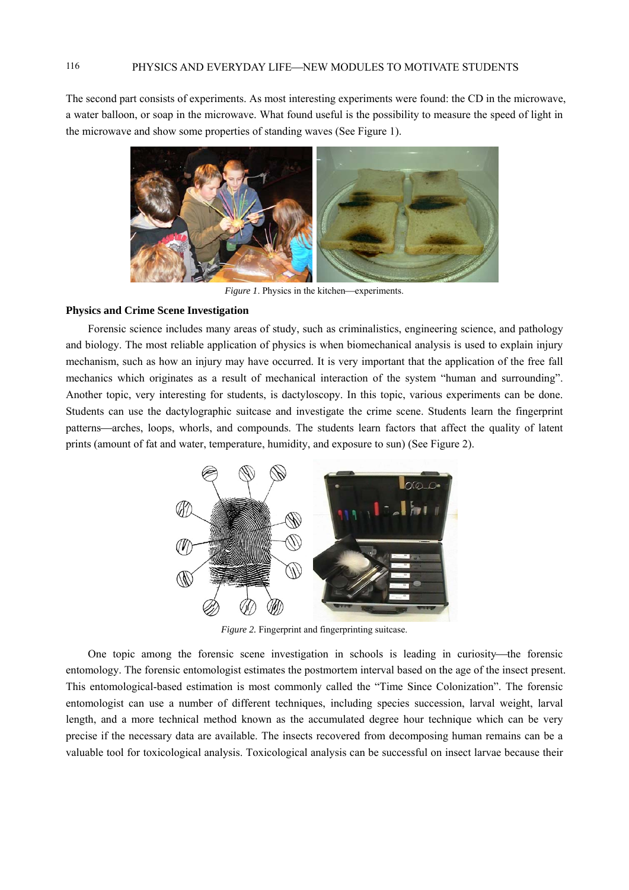The second part consists of experiments. As most interesting experiments were found: the CD in the microwave, a water balloon, or soap in the microwave. What found useful is the possibility to measure the speed of light in the microwave and show some properties of standing waves (See Figure 1).



*Figure 1*. Physics in the kitchen—experiments.

#### **Physics and Crime Scene Investigation**

Forensic science includes many areas of study, such as criminalistics, engineering science, and pathology and biology. The most reliable application of physics is when biomechanical analysis is used to explain injury mechanism, such as how an injury may have occurred. It is very important that the application of the free fall mechanics which originates as a result of mechanical interaction of the system "human and surrounding". Another topic, very interesting for students, is dactyloscopy. In this topic, various experiments can be done. Students can use the dactylographic suitcase and investigate the crime scene. Students learn the fingerprint patterns—arches, loops, whorls, and compounds. The students learn factors that affect the quality of latent prints (amount of fat and water, temperature, humidity, and exposure to sun) (See Figure 2).



*Figure 2.* Fingerprint and fingerprinting suitcase.

One topic among the forensic scene investigation in schools is leading in curiosity—the forensic entomology. The forensic entomologist estimates the postmortem interval based on the age of the insect present. This entomological-based estimation is most commonly called the "Time Since Colonization". The forensic entomologist can use a number of different techniques, including species succession, larval weight, larval length, and a more technical method known as the accumulated degree hour technique which can be very precise if the necessary data are available. The insects recovered from decomposing human remains can be a valuable tool for toxicological analysis. Toxicological analysis can be successful on insect larvae because their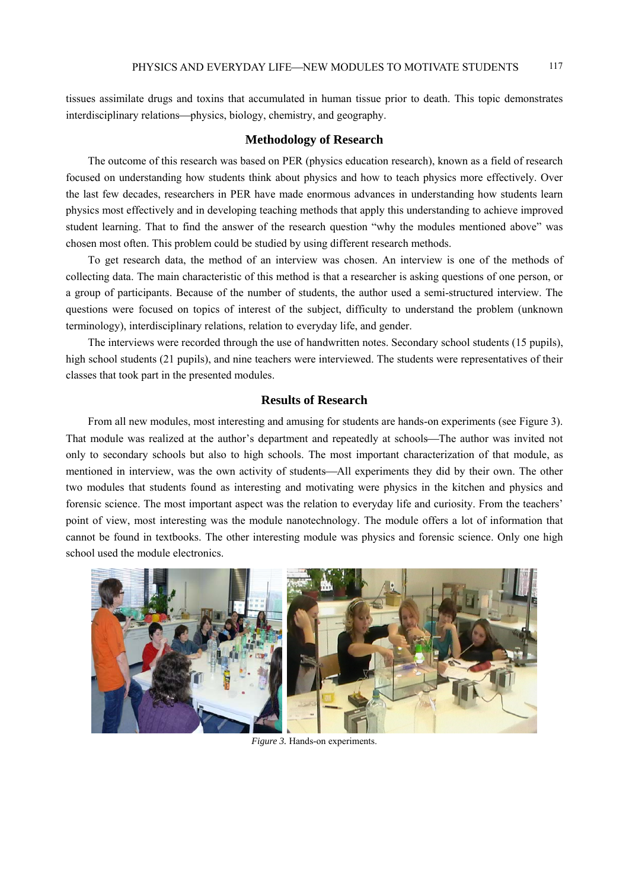tissues assimilate drugs and toxins that accumulated in human tissue prior to death. This topic demonstrates interdisciplinary relations—physics, biology, chemistry, and geography.

#### **Methodology of Research**

The outcome of this research was based on PER (physics education research), known as a field of research focused on understanding how students think about physics and how to teach physics more effectively. Over the last few decades, researchers in PER have made enormous advances in understanding how students learn physics most effectively and in developing teaching methods that apply this understanding to achieve improved student learning. That to find the answer of the research question "why the modules mentioned above" was chosen most often. This problem could be studied by using different research methods.

To get research data, the method of an interview was chosen. An interview is one of the methods of collecting data. The main characteristic of this method is that a researcher is asking questions of one person, or a group of participants. Because of the number of students, the author used a semi-structured interview. The questions were focused on topics of interest of the subject, difficulty to understand the problem (unknown terminology), interdisciplinary relations, relation to everyday life, and gender.

The interviews were recorded through the use of handwritten notes. Secondary school students (15 pupils), high school students (21 pupils), and nine teachers were interviewed. The students were representatives of their classes that took part in the presented modules.

## **Results of Research**

From all new modules, most interesting and amusing for students are hands-on experiments (see Figure 3). That module was realized at the author's department and repeatedly at schools—The author was invited not only to secondary schools but also to high schools. The most important characterization of that module, as mentioned in interview, was the own activity of students—All experiments they did by their own. The other two modules that students found as interesting and motivating were physics in the kitchen and physics and forensic science. The most important aspect was the relation to everyday life and curiosity. From the teachers' point of view, most interesting was the module nanotechnology. The module offers a lot of information that cannot be found in textbooks. The other interesting module was physics and forensic science. Only one high school used the module electronics.



*Figure 3.* Hands-on experiments.